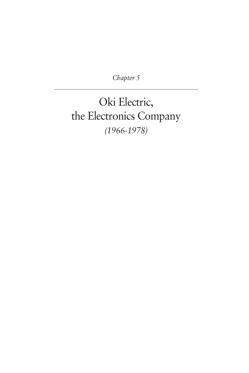*Chapter 5*

Oki Electric, the Electronics Company *(1966-1978)*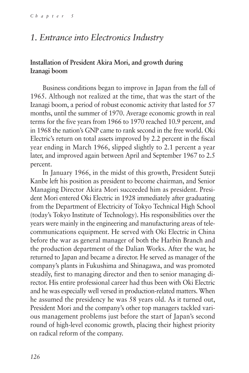## *1. Entrance into Electronics Industry*

## **Installation of President Akira Mori, and growth during Izanagi boom**

Business conditions began to improve in Japan from the fall of 1965. Although not realized at the time, that was the start of the Izanagi boom, a period of robust economic activity that lasted for 57 months, until the summer of 1970. Average economic growth in real terms for the five years from 1966 to 1970 reached 10.9 percent, and in 1968 the nation's GNP came to rank second in the free world. Oki Electric's return on total assets improved by 2.2 percent in the fiscal year ending in March 1966, slipped slightly to 2.1 percent a year later, and improved again between April and September 1967 to 2.5 percent.

In January 1966, in the midst of this growth, President Suteji Kanbe left his position as president to become chairman, and Senior Managing Director Akira Mori succeeded him as president. President Mori entered Oki Electric in 1928 immediately after graduating from the Department of Electricity of Tokyo Technical High School (today's Tokyo Institute of Technology). His responsibilities over the years were mainly in the engineering and manufacturing areas of telecommunications equipment. He served with Oki Electric in China before the war as general manager of both the Harbin Branch and the production department of the Dalian Works. After the war, he returned to Japan and became a director. He served as manager of the company's plants in Fukushima and Shinagawa, and was promoted steadily, first to managing director and then to senior managing director. His entire professional career had thus been with Oki Electric and he was especially well versed in production-related matters. When he assumed the presidency he was 58 years old. As it turned out, President Mori and the company's other top managers tackled various management problems just before the start of Japan's second round of high-level economic growth, placing their highest priority on radical reform of the company.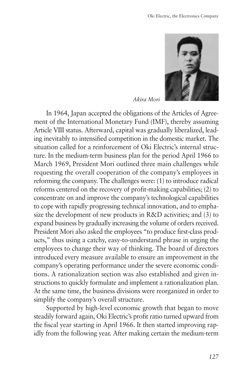

*Akira Mori*

In 1964, Japan accepted the obligations of the Articles of Agreement of the International Monetary Fund (IMF), thereby assuming Article VIII status. Afterward, capital was gradually liberalized, leading inevitably to intensified competition in the domestic market. The situation called for a reinforcement of Oki Electric's internal structure. In the medium-term business plan for the period April 1966 to March 1969, President Mori outlined three main challenges while requesting the overall cooperation of the company's employees in reforming the company. The challenges were: (1) to introduce radical reforms centered on the recovery of profit-making capabilities; (2) to concentrate on and improve the company's technological capabilities to cope with rapidly progressing technical innovation, and to emphasize the development of new products in R&D activities; and (3) to expand business by gradually increasing the volume of orders received. President Mori also asked the employees "to produce first-class products," thus using a catchy, easy-to-understand phrase in urging the employees to change their way of thinking. The board of directors introduced every measure available to ensure an improvement in the company's operating performance under the severe economic conditions. A rationalization section was also established and given instructions to quickly formulate and implement a rationalization plan. At the same time, the business divisions were reorganized in order to simplify the company's overall structure.

Supported by high-level economic growth that began to move steadily forward again, Oki Electric's profit ratio turned upward from the fiscal year starting in April 1966. It then started improving rapidly from the following year. After making certain the medium-term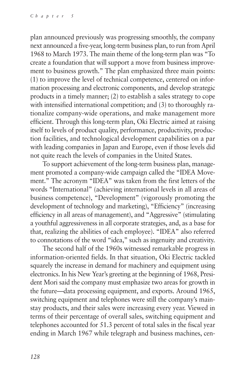plan announced previously was progressing smoothly, the company next announced a five-year, long-term business plan, to run from April 1968 to March 1973. The main theme of the long-term plan was "To create a foundation that will support a move from business improvement to business growth." The plan emphasized three main points: (1) to improve the level of technical competence, centered on information processing and electronic components, and develop strategic products in a timely manner; (2) to establish a sales strategy to cope with intensified international competition; and (3) to thoroughly rationalize company-wide operations, and make management more efficient. Through this long-term plan, Oki Electric aimed at raising itself to levels of product quality, performance, productivity, production facilities, and technological development capabilities on a par with leading companies in Japan and Europe, even if those levels did not quite reach the levels of companies in the United States.

To support achievement of the long-term business plan, management promoted a company-wide campaign called the "IDEA Movement." The acronym "IDEA" was taken from the first letters of the words "International" (achieving international levels in all areas of business competence), "Development" (vigorously promoting the development of technology and marketing), "Efficiency" (increasing efficiency in all areas of management), and "Aggressive" (stimulating a youthful aggressiveness in all corporate strategies, and, as a base for that, realizing the abilities of each employee). "IDEA" also referred to connotations of the word "idea," such as ingenuity and creativity.

The second half of the 1960s witnessed remarkable progress in information-oriented fields. In that situation, Oki Electric tackled squarely the increase in demand for machinery and equipment using electronics. In his New Year's greeting at the beginning of 1968, President Mori said the company must emphasize two areas for growth in the future—data processing equipment, and exports. Around 1965, switching equipment and telephones were still the company's mainstay products, and their sales were increasing every year. Viewed in terms of their percentage of overall sales, switching equipment and telephones accounted for 51.3 percent of total sales in the fiscal year ending in March 1967 while telegraph and business machines, cen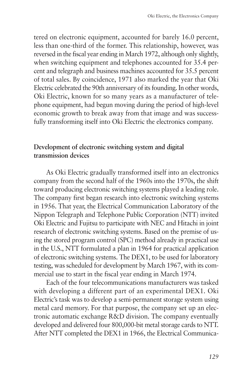tered on electronic equipment, accounted for barely 16.0 percent, less than one-third of the former. This relationship, however, was reversed in the fiscal year ending in March 1972, although only slightly, when switching equipment and telephones accounted for 35.4 percent and telegraph and business machines accounted for 35.5 percent of total sales. By coincidence, 1971 also marked the year that Oki Electric celebrated the 90th anniversary of its founding. In other words, Oki Electric, known for so many years as a manufacturer of telephone equipment, had begun moving during the period of high-level economic growth to break away from that image and was successfully transforming itself into Oki Electric the electronics company.

## **Development of electronic switching system and digital transmission devices**

As Oki Electric gradually transformed itself into an electronics company from the second half of the 1960s into the 1970s, the shift toward producing electronic switching systems played a leading role. The company first began research into electronic switching systems in 1956. That year, the Electrical Communication Laboratory of the Nippon Telegraph and Telephone Public Corporation (NTT) invited Oki Electric and Fujitsu to participate with NEC and Hitachi in joint research of electronic switching systems. Based on the premise of using the stored program control (SPC) method already in practical use in the U.S., NTT formulated a plan in 1964 for practical application of electronic switching systems. The DEX1, to be used for laboratory testing, was scheduled for development by March 1967, with its commercial use to start in the fiscal year ending in March 1974.

Each of the four telecommunications manufacturers was tasked with developing a different part of an experimental DEX1. Oki Electric's task was to develop a semi-permanent storage system using metal card memory. For that purpose, the company set up an electronic automatic exchange R&D division. The company eventually developed and delivered four 800,000-bit metal storage cards to NTT. After NTT completed the DEX1 in 1966, the Electrical Communica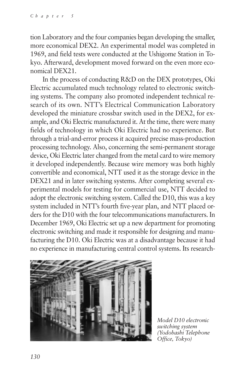tion Laboratory and the four companies began developing the smaller, more economical DEX2. An experimental model was completed in 1969, and field tests were conducted at the Ushigome Station in Tokyo. Afterward, development moved forward on the even more economical DEX21.

In the process of conducting R&D on the DEX prototypes, Oki Electric accumulated much technology related to electronic switching systems. The company also promoted independent technical research of its own. NTT's Electrical Communication Laboratory developed the miniature crossbar switch used in the DEX2, for example, and Oki Electric manufactured it. At the time, there were many fields of technology in which Oki Electric had no experience. But through a trial-and-error process it acquired precise mass-production processing technology. Also, concerning the semi-permanent storage device, Oki Electric later changed from the metal card to wire memory it developed independently. Because wire memory was both highly convertible and economical, NTT used it as the storage device in the DEX21 and in later switching systems. After completing several experimental models for testing for commercial use, NTT decided to adopt the electronic switching system. Called the D10, this was a key system included in NTT's fourth five-year plan, and NTT placed orders for the D10 with the four telecommunications manufacturers. In December 1969, Oki Electric set up a new department for promoting electronic switching and made it responsible for designing and manufacturing the D10. Oki Electric was at a disadvantage because it had no experience in manufacturing central control systems. Its research-



*Model D10 electronic switching system (Yodobashi Telephone Office, Tokyo)*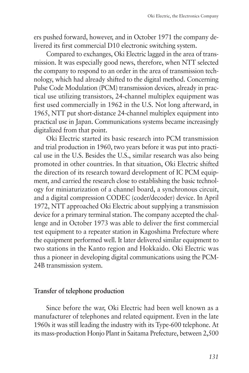ers pushed forward, however, and in October 1971 the company delivered its first commercial D10 electronic switching system.

Compared to exchanges, Oki Electric lagged in the area of transmission. It was especially good news, therefore, when NTT selected the company to respond to an order in the area of transmission technology, which had already shifted to the digital method. Concerning Pulse Code Modulation (PCM) transmission devices, already in practical use utilizing transistors, 24-channel multiplex equipment was first used commercially in 1962 in the U.S. Not long afterward, in 1965, NTT put short-distance 24-channel multiplex equipment into practical use in Japan. Communications systems became increasingly digitalized from that point.

Oki Electric started its basic research into PCM transmission and trial production in 1960, two years before it was put into practical use in the U.S. Besides the U.S., similar research was also being promoted in other countries. In that situation, Oki Electric shifted the direction of its research toward development of IC PCM equipment, and carried the research close to establishing the basic technology for miniaturization of a channel board, a synchronous circuit, and a digital compression CODEC (coder/decoder) device. In April 1972, NTT approached Oki Electric about supplying a transmission device for a primary terminal station. The company accepted the challenge and in October 1973 was able to deliver the first commercial test equipment to a repeater station in Kagoshima Prefecture where the equipment performed well. It later delivered similar equipment to two stations in the Kanto region and Hokkaido. Oki Electric was thus a pioneer in developing digital communications using the PCM-24B transmission system.

#### **Transfer of telephone production**

Since before the war, Oki Electric had been well known as a manufacturer of telephones and related equipment. Even in the late 1960s it was still leading the industry with its Type-600 telephone. At its mass-production Honjo Plant in Saitama Prefecture, between 2,500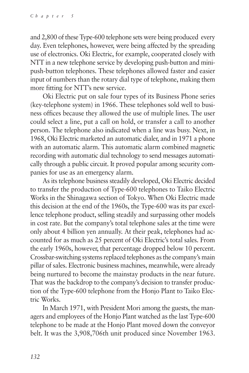and 2,800 of these Type-600 telephone sets were being produced every day. Even telephones, however, were being affected by the spreading use of electronics. Oki Electric, for example, cooperated closely with NTT in a new telephone service by developing push-button and minipush-button telephones. These telephones allowed faster and easier input of numbers than the rotary dial type of telephone, making them more fitting for NTT's new service.

Oki Electric put on sale four types of its Business Phone series (key-telephone system) in 1966. These telephones sold well to business offices because they allowed the use of multiple lines. The user could select a line, put a call on hold, or transfer a call to another person. The telephone also indicated when a line was busy. Next, in 1968, Oki Electric marketed an automatic dialer, and in 1971 a phone with an automatic alarm. This automatic alarm combined magnetic recording with automatic dial technology to send messages automatically through a public circuit. It proved popular among security companies for use as an emergency alarm.

As its telephone business steadily developed, Oki Electric decided to transfer the production of Type-600 telephones to Taiko Electric Works in the Shinagawa section of Tokyo. When Oki Electric made this decision at the end of the 1960s, the Type-600 was its par excellence telephone product, selling steadily and surpassing other models in cost rate. But the company's total telephone sales at the time were only about 4 billion yen annually. At their peak, telephones had accounted for as much as 25 percent of Oki Electric's total sales. From the early 1960s, however, that percentage dropped below 10 percent. Crossbar-switching systems replaced telephones as the company's main pillar of sales. Electronic business machines, meanwhile, were already being nurtured to become the mainstay products in the near future. That was the backdrop to the company's decision to transfer production of the Type-600 telephone from the Honjo Plant to Taiko Electric Works.

In March 1971, with President Mori among the guests, the managers and employees of the Honjo Plant watched as the last Type-600 telephone to be made at the Honjo Plant moved down the conveyor belt. It was the 3,908,706th unit produced since November 1963.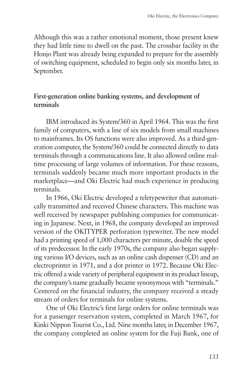Although this was a rather emotional moment, those present knew they had little time to dwell on the past. The crossbar facility in the Honjo Plant was already being expanded to prepare for the assembly of switching equipment, scheduled to begin only six months later, in September.

## **First-generation online banking systems, and development of terminals**

IBM introduced its System/360 in April 1964. This was the first family of computers, with a line of six models from small machines to mainframes. Its OS functions were also improved. As a third-generation computer, the System/360 could be connected directly to data terminals through a communications line. It also allowed online realtime processing of large volumes of information. For these reasons, terminals suddenly became much more important products in the marketplace—and Oki Electric had much experience in producing terminals.

In 1966, Oki Electric developed a teletypewriter that automatically transmitted and received Chinese characters. This machine was well received by newspaper publishing companies for communicating in Japanese. Next, in 1968, the company developed an improved version of the OKITYPER perforation typewriter. The new model had a printing speed of 1,000 characters per minute, double the speed of its predecessor. In the early 1970s, the company also began supplying various I/O devices, such as an online cash dispenser (CD) and an electroprinter in 1971, and a dot printer in 1972. Because Oki Electric offered a wide variety of peripheral equipment in its product lineup, the company's name gradually became synonymous with "terminals." Centered on the financial industry, the company received a steady stream of orders for terminals for online systems.

One of Oki Electric's first large orders for online terminals was for a passenger reservation system, completed in March 1967, for Kinki Nippon Tourist Co., Ltd. Nine months later, in December 1967, the company completed an online system for the Fuji Bank, one of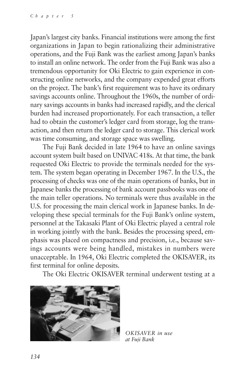Japan's largest city banks. Financial institutions were among the first organizations in Japan to begin rationalizing their administrative operations, and the Fuji Bank was the earliest among Japan's banks to install an online network. The order from the Fuji Bank was also a tremendous opportunity for Oki Electric to gain experience in constructing online networks, and the company expended great efforts on the project. The bank's first requirement was to have its ordinary savings accounts online. Throughout the 1960s, the number of ordinary savings accounts in banks had increased rapidly, and the clerical burden had increased proportionately. For each transaction, a teller had to obtain the customer's ledger card from storage, log the transaction, and then return the ledger card to storage. This clerical work was time consuming, and storage space was swelling.

The Fuji Bank decided in late 1964 to have an online savings account system built based on UNIVAC 418s. At that time, the bank requested Oki Electric to provide the terminals needed for the system. The system began operating in December 1967. In the U.S., the processing of checks was one of the main operations of banks, but in Japanese banks the processing of bank account passbooks was one of the main teller operations. No terminals were thus available in the U.S. for processing the main clerical work in Japanese banks. In developing these special terminals for the Fuji Bank's online system, personnel at the Takasaki Plant of Oki Electric played a central role in working jointly with the bank. Besides the processing speed, emphasis was placed on compactness and precision, i.e., because savings accounts were being handled, mistakes in numbers were unacceptable. In 1964, Oki Electric completed the OKISAVER, its first terminal for online deposits.

The Oki Electric OKISAVER terminal underwent testing at a



*OKISAVER in use at Fuji Bank*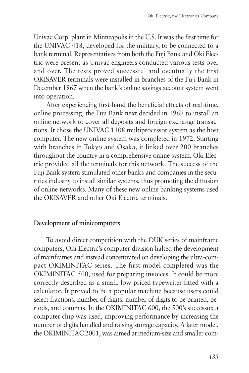Univac Corp. plant in Minneapolis in the U.S. It was the first time for the UNIVAC 418, developed for the military, to be connected to a bank terminal. Representatives from both the Fuji Bank and Oki Electric were present as Univac engineers conducted various tests over and over. The tests proved successful and eventually the first OKISAVER terminals were installed in branches of the Fuji Bank in December 1967 when the bank's online savings account system went into operation.

After experiencing first-hand the beneficial effects of real-time, online processing, the Fuji Bank next decided in 1969 to install an online network to cover all deposits and foreign exchange transactions. It chose the UNIVAC 1108 multiprocessor system as the host computer. The new online system was completed in 1972. Starting with branches in Tokyo and Osaka, it linked over 200 branches throughout the country in a comprehensive online system. Oki Electric provided all the terminals for this network. The success of the Fuji Bank system stimulated other banks and companies in the securities industry to install similar systems, thus promoting the diffusion of online networks. Many of these new online banking systems used the OKISAVER and other Oki Electric terminals.

## **Development of minicomputers**

To avoid direct competition with the OUK series of mainframe computers, Oki Electric's computer division halted the development of mainframes and instead concentrated on developing the ultra-compact OKIMINITAC series. The first model completed was the OKIMINITAC 500, used for preparing invoices. It could be more correctly described as a small, low-priced typewriter fitted with a calculator. It proved to be a popular machine because users could select fractions, number of digits, number of digits to be printed, periods, and commas. In the OKIMINITAC 600, the 500's successor, a computer chip was used, improving performance by increasing the number of digits handled and raising storage capacity. A later model, the OKIMINITAC 2001, was aimed at medium-size and smaller com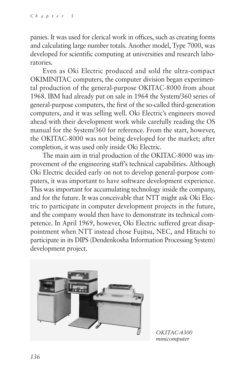panies. It was used for clerical work in offices, such as creating forms and calculating large number totals. Another model, Type 7000, was developed for scientific computing at universities and research laboratories.

Even as Oki Electric produced and sold the ultra-compact OKIMINITAC computers, the computer division began experimental production of the general-purpose OKITAC-8000 from about 1968. IBM had already put on sale in 1964 the System/360 series of general-purpose computers, the first of the so-called third-generation computers, and it was selling well. Oki Electric's engineers moved ahead with their development work while carefully reading the OS manual for the System/360 for reference. From the start, however, the OKITAC-8000 was not being developed for the market; after completion, it was used only inside Oki Electric.

The main aim in trial production of the OKITAC-8000 was improvement of the engineering staff's technical capabilities. Although Oki Electric decided early on not to develop general-purpose computers, it was important to have software development experience. This was important for accumulating technology inside the company, and for the future. It was conceivable that NTT might ask Oki Electric to participate in computer development projects in the future, and the company would then have to demonstrate its technical competence. In April 1969, however, Oki Electric suffered great disappointment when NTT instead chose Fujitsu, NEC, and Hitachi to participate in its DIPS (Dendenkosha Information Processing System) development project.



*OKITAC-4300 minicomputer*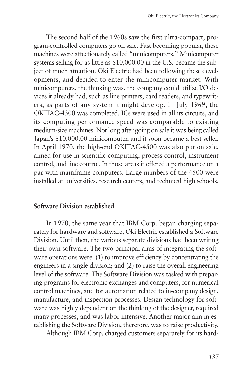The second half of the 1960s saw the first ultra-compact, program-controlled computers go on sale. Fast becoming popular, these machines were affectionately called "minicomputers." Minicomputer systems selling for as little as \$10,000.00 in the U.S. became the subject of much attention. Oki Electric had been following these developments, and decided to enter the minicomputer market. With minicomputers, the thinking was, the company could utilize I/O devices it already had, such as line printers, card readers, and typewriters, as parts of any system it might develop. In July 1969, the OKITAC-4300 was completed. ICs were used in all its circuits, and its computing performance speed was comparable to existing medium-size machines. Not long after going on sale it was being called Japan's \$10,000.00 minicomputer, and it soon became a best seller. In April 1970, the high-end OKITAC-4500 was also put on sale, aimed for use in scientific computing, process control, instrument control, and line control. In those areas it offered a performance on a par with mainframe computers. Large numbers of the 4500 were installed at universities, research centers, and technical high schools.

#### **Software Division established**

In 1970, the same year that IBM Corp. began charging separately for hardware and software, Oki Electric established a Software Division. Until then, the various separate divisions had been writing their own software. The two principal aims of integrating the software operations were: (1) to improve efficiency by concentrating the engineers in a single division; and (2) to raise the overall engineering level of the software. The Software Division was tasked with preparing programs for electronic exchanges and computers, for numerical control machines, and for automation related to in-company design, manufacture, and inspection processes. Design technology for software was highly dependent on the thinking of the designer, required many processes, and was labor intensive. Another major aim in establishing the Software Division, therefore, was to raise productivity.

Although IBM Corp. charged customers separately for its hard-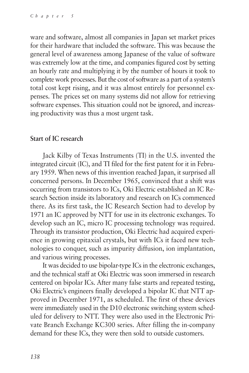ware and software, almost all companies in Japan set market prices for their hardware that included the software. This was because the general level of awareness among Japanese of the value of software was extremely low at the time, and companies figured cost by setting an hourly rate and multiplying it by the number of hours it took to complete work processes. But the cost of software as a part of a system's total cost kept rising, and it was almost entirely for personnel expenses. The prices set on many systems did not allow for retrieving software expenses. This situation could not be ignored, and increasing productivity was thus a most urgent task.

## **Start of IC research**

Jack Kilby of Texas Instruments (TI) in the U.S. invented the integrated circuit (IC), and TI filed for the first patent for it in February 1959. When news of this invention reached Japan, it surprised all concerned persons. In December 1965, convinced that a shift was occurring from transistors to ICs, Oki Electric established an IC Research Section inside its laboratory and research on ICs commenced there. As its first task, the IC Research Section had to develop by 1971 an IC approved by NTT for use in its electronic exchanges. To develop such an IC, micro IC processing technology was required. Through its transistor production, Oki Electric had acquired experience in growing epitaxial crystals, but with ICs it faced new technologies to conquer, such as impurity diffusion, ion implantation, and various wiring processes.

It was decided to use bipolar-type ICs in the electronic exchanges, and the technical staff at Oki Electric was soon immersed in research centered on bipolar ICs. After many false starts and repeated testing, Oki Electric's engineers finally developed a bipolar IC that NTT approved in December 1971, as scheduled. The first of these devices were immediately used in the D10 electronic switching system scheduled for delivery to NTT. They were also used in the Electronic Private Branch Exchange KC300 series. After filling the in-company demand for these ICs, they were then sold to outside customers.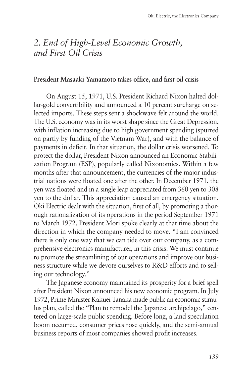# *2. End of High-Level Economic Growth, and First Oil Crisis*

#### **President Masaaki Yamamoto takes office, and first oil crisis**

On August 15, 1971, U.S. President Richard Nixon halted dollar-gold convertibility and announced a 10 percent surcharge on selected imports. These steps sent a shockwave felt around the world. The U.S. economy was in its worst shape since the Great Depression, with inflation increasing due to high government spending (spurred on partly by funding of the Vietnam War), and with the balance of payments in deficit. In that situation, the dollar crisis worsened. To protect the dollar, President Nixon announced an Economic Stabilization Program (ESP), popularly called Nixonomics. Within a few months after that announcement, the currencies of the major industrial nations were floated one after the other. In December 1971, the yen was floated and in a single leap appreciated from 360 yen to 308 yen to the dollar. This appreciation caused an emergency situation. Oki Electric dealt with the situation, first of all, by promoting a thorough rationalization of its operations in the period September 1971 to March 1972. President Mori spoke clearly at that time about the direction in which the company needed to move. "I am convinced there is only one way that we can tide over our company, as a comprehensive electronics manufacturer, in this crisis. We must continue to promote the streamlining of our operations and improve our business structure while we devote ourselves to R&D efforts and to selling our technology."

The Japanese economy maintained its prosperity for a brief spell after President Nixon announced his new economic program. In July 1972, Prime Minister Kakuei Tanaka made public an economic stimulus plan, called the "Plan to remodel the Japanese archipelago," centered on large-scale public spending. Before long, a land speculation boom occurred, consumer prices rose quickly, and the semi-annual business reports of most companies showed profit increases.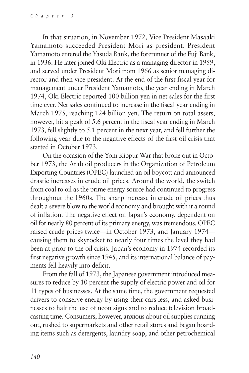In that situation, in November 1972, Vice President Masaaki Yamamoto succeeded President Mori as president. President Yamamoto entered the Yasuda Bank, the forerunner of the Fuji Bank, in 1936. He later joined Oki Electric as a managing director in 1959, and served under President Mori from 1966 as senior managing director and then vice president. At the end of the first fiscal year for management under President Yamamoto, the year ending in March 1974, Oki Electric reported 100 billion yen in net sales for the first time ever. Net sales continued to increase in the fiscal year ending in March 1975, reaching 124 billion yen. The return on total assets, however, hit a peak of 5.6 percent in the fiscal year ending in March 1973, fell slightly to 5.1 percent in the next year, and fell further the following year due to the negative effects of the first oil crisis that started in October 1973.

On the occasion of the Yom Kippur War that broke out in October 1973, the Arab oil producers in the Organization of Petroleum Exporting Countries (OPEC) launched an oil boycott and announced drastic increases in crude oil prices. Around the world, the switch from coal to oil as the prime energy source had continued to progress throughout the 1960s. The sharp increase in crude oil prices thus dealt a severe blow to the world economy and brought with it a round of inflation. The negative effect on Japan's economy, dependent on oil for nearly 80 percent of its primary energy, was tremendous. OPEC raised crude prices twice—in October 1973, and January 1974 causing them to skyrocket to nearly four times the level they had been at prior to the oil crisis. Japan's economy in 1974 recorded its first negative growth since 1945, and its international balance of payments fell heavily into deficit.

From the fall of 1973, the Japanese government introduced measures to reduce by 10 percent the supply of electric power and oil for 11 types of businesses. At the same time, the government requested drivers to conserve energy by using their cars less, and asked businesses to halt the use of neon signs and to reduce television broadcasting time. Consumers, however, anxious about oil supplies running out, rushed to supermarkets and other retail stores and began hoarding items such as detergents, laundry soap, and other petrochemical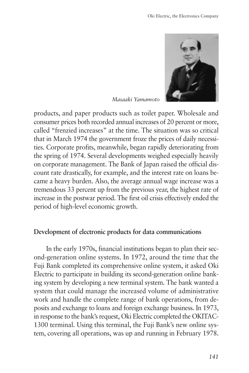

*Masaaki Yamamoto*

products, and paper products such as toilet paper. Wholesale and consumer prices both recorded annual increases of 20 percent or more, called "frenzied increases" at the time. The situation was so critical that in March 1974 the government froze the prices of daily necessities. Corporate profits, meanwhile, began rapidly deteriorating from the spring of 1974. Several developments weighed especially heavily on corporate management. The Bank of Japan raised the official discount rate drastically, for example, and the interest rate on loans became a heavy burden. Also, the average annual wage increase was a tremendous 33 percent up from the previous year, the highest rate of increase in the postwar period. The first oil crisis effectively ended the period of high-level economic growth.

#### **Development of electronic products for data communications**

In the early 1970s, financial institutions began to plan their second-generation online systems. In 1972, around the time that the Fuji Bank completed its comprehensive online system, it asked Oki Electric to participate in building its second-generation online banking system by developing a new terminal system. The bank wanted a system that could manage the increased volume of administrative work and handle the complete range of bank operations, from deposits and exchange to loans and foreign exchange business. In 1973, in response to the bank's request, Oki Electric completed the OKITAC-1300 terminal. Using this terminal, the Fuji Bank's new online system, covering all operations, was up and running in February 1978.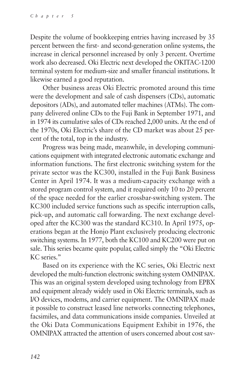Despite the volume of bookkeeping entries having increased by 35 percent between the first- and second-generation online systems, the increase in clerical personnel increased by only 3 percent. Overtime work also decreased. Oki Electric next developed the OKITAC-1200 terminal system for medium-size and smaller financial institutions. It likewise earned a good reputation.

Other business areas Oki Electric promoted around this time were the development and sale of cash dispensers (CDs), automatic depositors (ADs), and automated teller machines (ATMs). The company delivered online CDs to the Fuji Bank in September 1971, and in 1974 its cumulative sales of CDs reached 2,000 units. At the end of the 1970s, Oki Electric's share of the CD market was about 25 percent of the total, top in the industry.

Progress was being made, meanwhile, in developing communications equipment with integrated electronic automatic exchange and information functions. The first electronic switching system for the private sector was the KC300, installed in the Fuji Bank Business Center in April 1974. It was a medium-capacity exchange with a stored program control system, and it required only 10 to 20 percent of the space needed for the earlier crossbar-switching system. The KC300 included service functions such as specific interruption calls, pick-up, and automatic call forwarding. The next exchange developed after the KC300 was the standard KC310. In April 1975, operations began at the Honjo Plant exclusively producing electronic switching systems. In 1977, both the KC100 and KC200 were put on sale. This series became quite popular, called simply the "Oki Electric KC series."

Based on its experience with the KC series, Oki Electric next developed the multi-function electronic switching system OMNIPAX. This was an original system developed using technology from EPBX and equipment already widely used in Oki Electric terminals, such as I/O devices, modems, and carrier equipment. The OMNIPAX made it possible to construct leased line networks connecting telephones, facsimiles, and data communications inside companies. Unveiled at the Oki Data Communications Equipment Exhibit in 1976, the OMNIPAX attracted the attention of users concerned about cost sav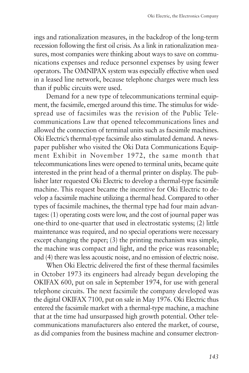ings and rationalization measures, in the backdrop of the long-term recession following the first oil crisis. As a link in rationalization measures, most companies were thinking about ways to save on communications expenses and reduce personnel expenses by using fewer operators. The OMNIPAX system was especially effective when used in a leased line network, because telephone charges were much less than if public circuits were used.

Demand for a new type of telecommunications terminal equipment, the facsimile, emerged around this time. The stimulus for widespread use of facsimiles was the revision of the Public Telecommunications Law that opened telecommunications lines and allowed the connection of terminal units such as facsimile machines. Oki Electric's thermal-type facsimile also stimulated demand. A newspaper publisher who visited the Oki Data Communications Equipment Exhibit in November 1972, the same month that telecommunications lines were opened to terminal units, became quite interested in the print head of a thermal printer on display. The publisher later requested Oki Electric to develop a thermal-type facsimile machine. This request became the incentive for Oki Electric to develop a facsimile machine utilizing a thermal head. Compared to other types of facsimile machines, the thermal type had four main advantages: (1) operating costs were low, and the cost of journal paper was one-third to one-quarter that used in electrostatic systems; (2) little maintenance was required, and no special operations were necessary except changing the paper; (3) the printing mechanism was simple, the machine was compact and light, and the price was reasonable; and (4) there was less acoustic noise, and no emission of electric noise.

When Oki Electric delivered the first of these thermal facsimiles in October 1973 its engineers had already begun developing the OKIFAX 600, put on sale in September 1974, for use with general telephone circuits. The next facsimile the company developed was the digital OKIFAX 7100, put on sale in May 1976. Oki Electric thus entered the facsimile market with a thermal-type machine, a machine that at the time had unsurpassed high growth potential. Other telecommunications manufacturers also entered the market, of course, as did companies from the business machine and consumer electron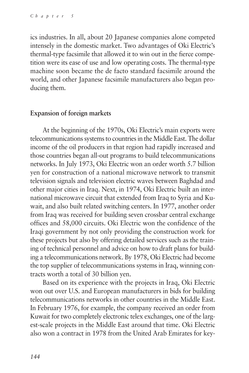ics industries. In all, about 20 Japanese companies alone competed intensely in the domestic market. Two advantages of Oki Electric's thermal-type facsimile that allowed it to win out in the fierce competition were its ease of use and low operating costs. The thermal-type machine soon became the de facto standard facsimile around the world, and other Japanese facsimile manufacturers also began producing them.

### **Expansion of foreign markets**

At the beginning of the 1970s, Oki Electric's main exports were telecommunications systems to countries in the Middle East. The dollar income of the oil producers in that region had rapidly increased and those countries began all-out programs to build telecommunications networks. In July 1973, Oki Electric won an order worth 5.7 billion yen for construction of a national microwave network to transmit television signals and television electric waves between Baghdad and other major cities in Iraq. Next, in 1974, Oki Electric built an international microwave circuit that extended from Iraq to Syria and Kuwait, and also built related switching centers. In 1977, another order from Iraq was received for building seven crossbar central exchange offices and 58,000 circuits. Oki Electric won the confidence of the Iraqi government by not only providing the construction work for these projects but also by offering detailed services such as the training of technical personnel and advice on how to draft plans for building a telecommunications network. By 1978, Oki Electric had become the top supplier of telecommunications systems in Iraq, winning contracts worth a total of 30 billion yen.

Based on its experience with the projects in Iraq, Oki Electric won out over U.S. and European manufacturers in bids for building telecommunications networks in other countries in the Middle East. In February 1976, for example, the company received an order from Kuwait for two completely electronic telex exchanges, one of the largest-scale projects in the Middle East around that time. Oki Electric also won a contract in 1978 from the United Arab Emirates for key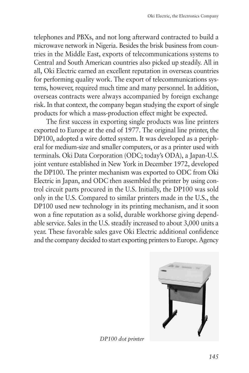telephones and PBXs, and not long afterward contracted to build a microwave network in Nigeria. Besides the brisk business from countries in the Middle East, exports of telecommunications systems to Central and South American countries also picked up steadily. All in all, Oki Electric earned an excellent reputation in overseas countries for performing quality work. The export of telecommunications systems, however, required much time and many personnel. In addition, overseas contracts were always accompanied by foreign exchange risk. In that context, the company began studying the export of single products for which a mass-production effect might be expected.

The first success in exporting single products was line printers exported to Europe at the end of 1977. The original line printer, the DP100, adopted a wire dotted system. It was developed as a peripheral for medium-size and smaller computers, or as a printer used with terminals. Oki Data Corporation (ODC; today's ODA), a Japan-U.S. joint venture established in New York in December 1972, developed the DP100. The printer mechanism was exported to ODC from Oki Electric in Japan, and ODC then assembled the printer by using control circuit parts procured in the U.S. Initially, the DP100 was sold only in the U.S. Compared to similar printers made in the U.S., the DP100 used new technology in its printing mechanism, and it soon won a fine reputation as a solid, durable workhorse giving dependable service. Sales in the U.S. steadily increased to about 3,000 units a year. These favorable sales gave Oki Electric additional confidence and the company decided to start exporting printers to Europe. Agency



*DP100 dot printer*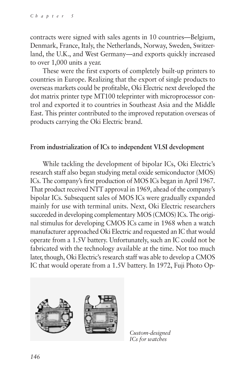contracts were signed with sales agents in 10 countries—Belgium, Denmark, France, Italy, the Netherlands, Norway, Sweden, Switzerland, the U.K., and West Germany—and exports quickly increased to over 1,000 units a year.

These were the first exports of completely built-up printers to countries in Europe. Realizing that the export of single products to overseas markets could be profitable, Oki Electric next developed the dot matrix printer type MT100 teleprinter with microprocessor control and exported it to countries in Southeast Asia and the Middle East. This printer contributed to the improved reputation overseas of products carrying the Oki Electric brand.

#### **From industrialization of ICs to independent VLSI development**

While tackling the development of bipolar ICs, Oki Electric's research staff also began studying metal oxide semiconductor (MOS) ICs. The company's first production of MOS ICs began in April 1967. That product received NTT approval in 1969, ahead of the company's bipolar ICs. Subsequent sales of MOS ICs were gradually expanded mainly for use with terminal units. Next, Oki Electric researchers succeeded in developing complementary MOS (CMOS) ICs. The original stimulus for developing CMOS ICs came in 1968 when a watch manufacturer approached Oki Electric and requested an IC that would operate from a 1.5V battery. Unfortunately, such an IC could not be fabricated with the technology available at the time. Not too much later, though, Oki Electric's research staff was able to develop a CMOS IC that would operate from a 1.5V battery. In 1972, Fuji Photo Op-



*Custom-designed ICs for watches*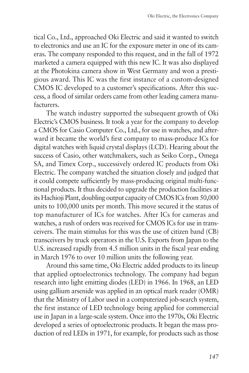tical Co., Ltd., approached Oki Electric and said it wanted to switch to electronics and use an IC for the exposure meter in one of its cameras. The company responded to this request, and in the fall of 1972 marketed a camera equipped with this new IC. It was also displayed at the Photokina camera show in West Germany and won a prestigious award. This IC was the first instance of a custom-designed CMOS IC developed to a customer's specifications. After this success, a flood of similar orders came from other leading camera manufacturers.

The watch industry supported the subsequent growth of Oki Electric's CMOS business. It took a year for the company to develop a CMOS for Casio Computer Co., Ltd., for use in watches, and afterward it became the world's first company to mass-produce ICs for digital watches with liquid crystal displays (LCD). Hearing about the success of Casio, other watchmakers, such as Seiko Corp., Omega SA, and Timex Corp., successively ordered IC products from Oki Electric. The company watched the situation closely and judged that it could compete sufficiently by mass-producing original multi-functional products. It thus decided to upgrade the production facilities at its Hachioji Plant, doubling output capacity of CMOS ICs from 50,000 units to 100,000 units per month. This move secured it the status of top manufacturer of ICs for watches. After ICs for cameras and watches, a rush of orders was received for CMOS ICs for use in transceivers. The main stimulus for this was the use of citizen band (CB) transceivers by truck operators in the U.S. Exports from Japan to the U.S. increased rapidly from 4.5 million units in the fiscal year ending in March 1976 to over 10 million units the following year.

Around this same time, Oki Electric added products to its lineup that applied optoelectronics technology. The company had begun research into light emitting diodes (LED) in 1966. In 1968, an LED using gallium arsenide was applied in an optical mark reader (OMR) that the Ministry of Labor used in a computerized job-search system, the first instance of LED technology being applied for commercial use in Japan in a large-scale system. Once into the 1970s, Oki Electric developed a series of optoelectronic products. It began the mass production of red LEDs in 1971, for example, for products such as those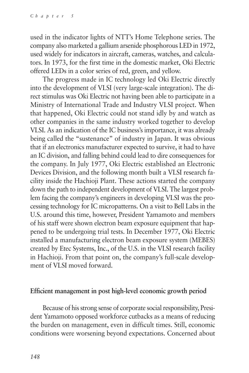used in the indicator lights of NTT's Home Telephone series. The company also marketed a gallium arsenide phosphorous LED in 1972, used widely for indicators in aircraft, cameras, watches, and calculators. In 1973, for the first time in the domestic market, Oki Electric offered LEDs in a color series of red, green, and yellow.

The progress made in IC technology led Oki Electric directly into the development of VLSI (very large-scale integration). The direct stimulus was Oki Electric not having been able to participate in a Ministry of International Trade and Industry VLSI project. When that happened, Oki Electric could not stand idly by and watch as other companies in the same industry worked together to develop VLSI. As an indication of the IC business's importance, it was already being called the "sustenance" of industry in Japan. It was obvious that if an electronics manufacturer expected to survive, it had to have an IC division, and falling behind could lead to dire consequences for the company. In July 1977, Oki Electric established an Electronic Devices Division, and the following month built a VLSI research facility inside the Hachioji Plant. These actions started the company down the path to independent development of VLSI. The largest problem facing the company's engineers in developing VLSI was the processing technology for IC micropatterns. On a visit to Bell Labs in the U.S. around this time, however, President Yamamoto and members of his staff were shown electron beam exposure equipment that happened to be undergoing trial tests. In December 1977, Oki Electric installed a manufacturing electron beam exposure system (MEBES) created by Etec Systems, Inc., of the U.S. in the VLSI research facility in Hachioji. From that point on, the company's full-scale development of VLSI moved forward.

#### **Efficient management in post high-level economic growth period**

Because of his strong sense of corporate social responsibility, President Yamamoto opposed workforce cutbacks as a means of reducing the burden on management, even in difficult times. Still, economic conditions were worsening beyond expectations. Concerned about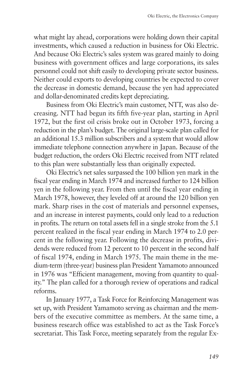what might lay ahead, corporations were holding down their capital investments, which caused a reduction in business for Oki Electric. And because Oki Electric's sales system was geared mainly to doing business with government offices and large corporations, its sales personnel could not shift easily to developing private sector business. Neither could exports to developing countries be expected to cover the decrease in domestic demand, because the yen had appreciated and dollar-denominated credits kept depreciating.

Business from Oki Electric's main customer, NTT, was also decreasing. NTT had begun its fifth five-year plan, starting in April 1972, but the first oil crisis broke out in October 1973, forcing a reduction in the plan's budget. The original large-scale plan called for an additional 15.3 million subscribers and a system that would allow immediate telephone connection anywhere in Japan. Because of the budget reduction, the orders Oki Electric received from NTT related to this plan were substantially less than originally expected.

Oki Electric's net sales surpassed the 100 billion yen mark in the fiscal year ending in March 1974 and increased further to 124 billion yen in the following year. From then until the fiscal year ending in March 1978, however, they leveled off at around the 120 billion yen mark. Sharp rises in the cost of materials and personnel expenses, and an increase in interest payments, could only lead to a reduction in profits. The return on total assets fell in a single stroke from the 5.1 percent realized in the fiscal year ending in March 1974 to 2.0 percent in the following year. Following the decrease in profits, dividends were reduced from 12 percent to 10 percent in the second half of fiscal 1974, ending in March 1975. The main theme in the medium-term (three-year) business plan President Yamamoto announced in 1976 was "Efficient management, moving from quantity to quality." The plan called for a thorough review of operations and radical reforms.

In January 1977, a Task Force for Reinforcing Management was set up, with President Yamamoto serving as chairman and the members of the executive committee as members. At the same time, a business research office was established to act as the Task Force's secretariat. This Task Force, meeting separately from the regular Ex